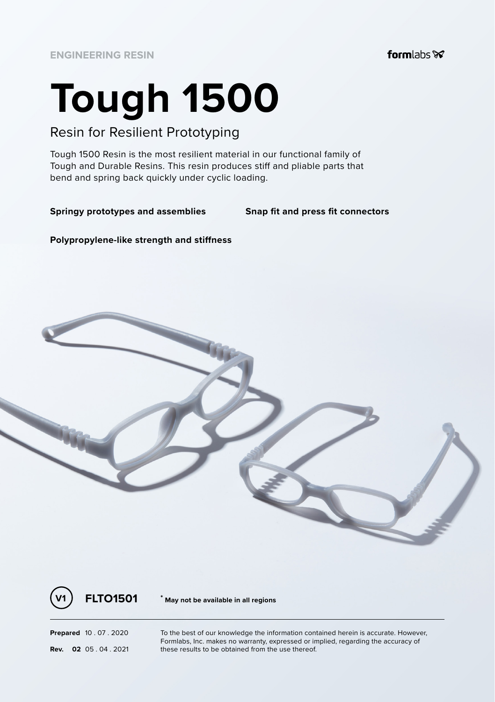# **Tough 1500**

## Resin for Resilient Prototyping

Tough 1500 Resin is the most resilient material in our functional family of Tough and Durable Resins. This resin produces stiff and pliable parts that bend and spring back quickly under cyclic loading.

#### **Springy prototypes and assemblies Snap fit and press fit connectors**

**Polypropylene-like strength and stiffness**





**V1 FLTO1501 \* May not be available in all regions**

**Prepared** 10 . 07 . 2020 To the best of our knowledge the information contained herein is accurate. However, Formlabs, Inc. makes no warranty, expressed or implied, regarding the accuracy of **Rev. 02** 05 .04 .2021 **these results to be obtained from the use thereof.**